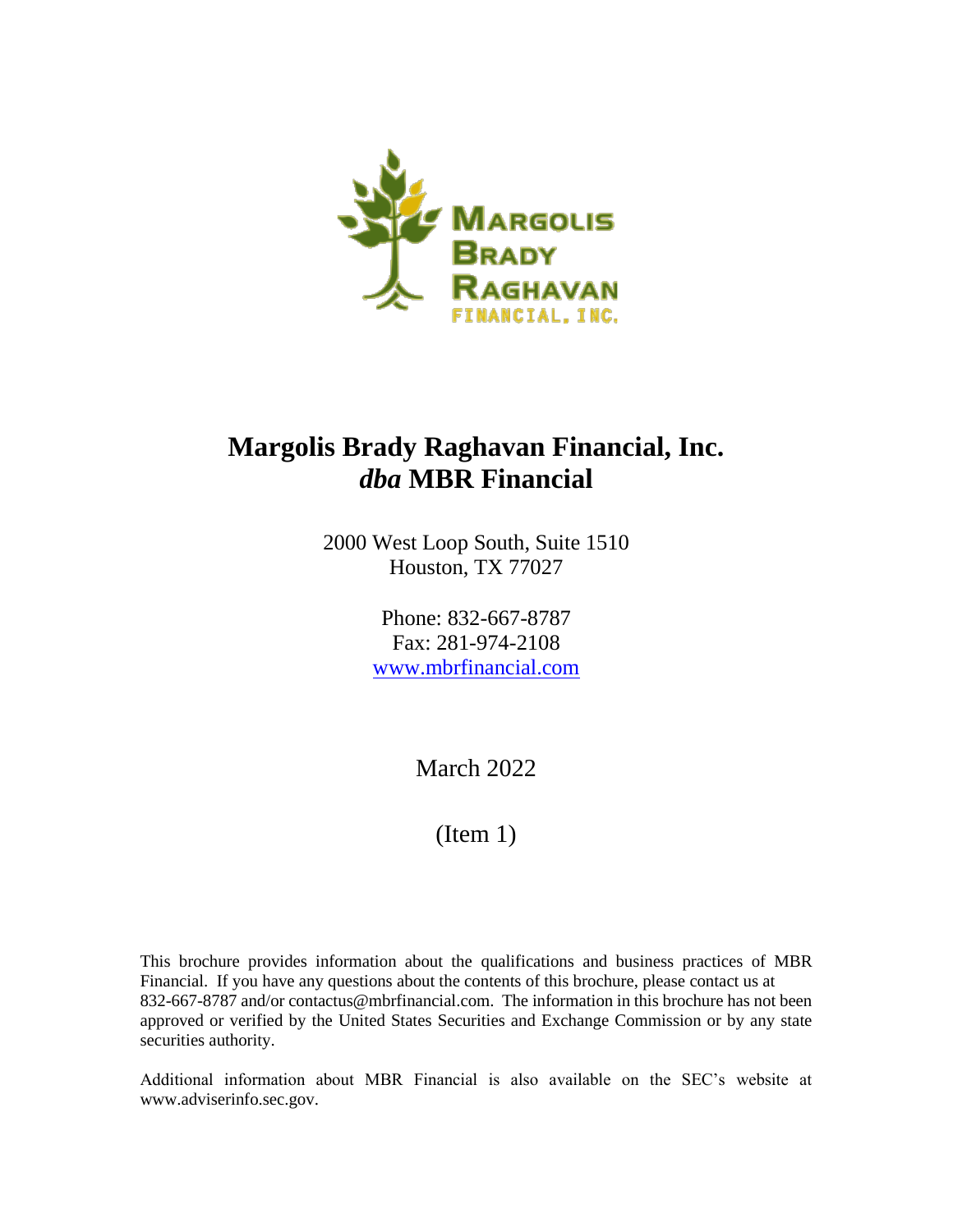

# **Margolis Brady Raghavan Financial, Inc.**  *dba* **MBR Financial**

2000 West Loop South, Suite 1510 Houston, TX 77027

> Phone: 832-667-8787 Fax: 281-974-2108 www.mbrfinancial.com

> > March 2022

## (Item 1)

This brochure provides information about the qualifications and business practices of MBR Financial. If you have any questions about the contents of this brochure, please contact us at 832-667-8787 and/or contactus@mbrfinancial.com. The information in this brochure has not been approved or verified by the United States Securities and Exchange Commission or by any state securities authority.

Additional information about MBR Financial is also available on the SEC's website at www.adviserinfo.sec.gov.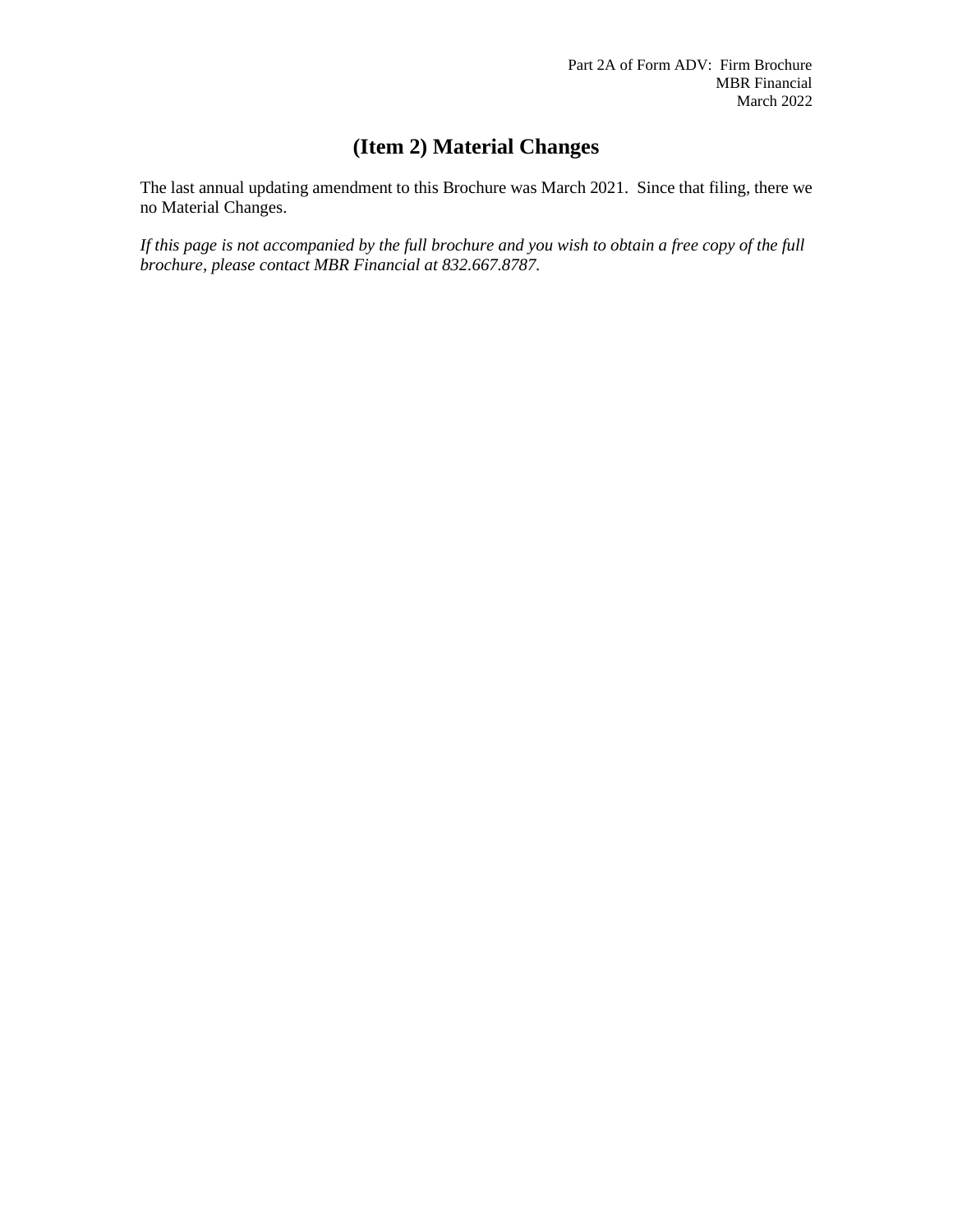## **(Item 2) Material Changes**

The last annual updating amendment to this Brochure was March 2021. Since that filing, there we no Material Changes.

*If this page is not accompanied by the full brochure and you wish to obtain a free copy of the full brochure, please contact MBR Financial at 832.667.8787.*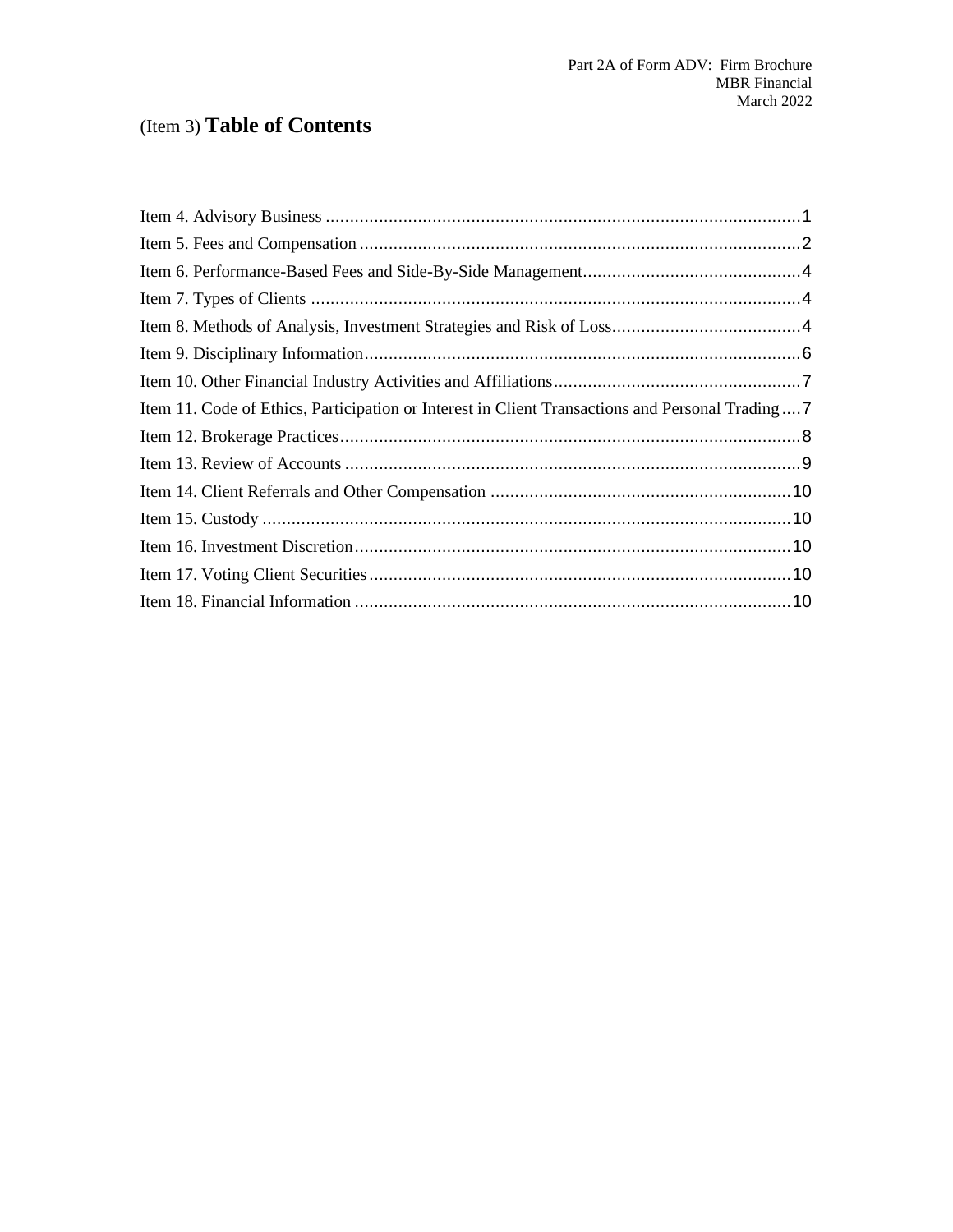# (Item 3) **Table of Contents**

| Item 11. Code of Ethics, Participation or Interest in Client Transactions and Personal Trading7 |  |
|-------------------------------------------------------------------------------------------------|--|
|                                                                                                 |  |
|                                                                                                 |  |
|                                                                                                 |  |
|                                                                                                 |  |
|                                                                                                 |  |
|                                                                                                 |  |
|                                                                                                 |  |
|                                                                                                 |  |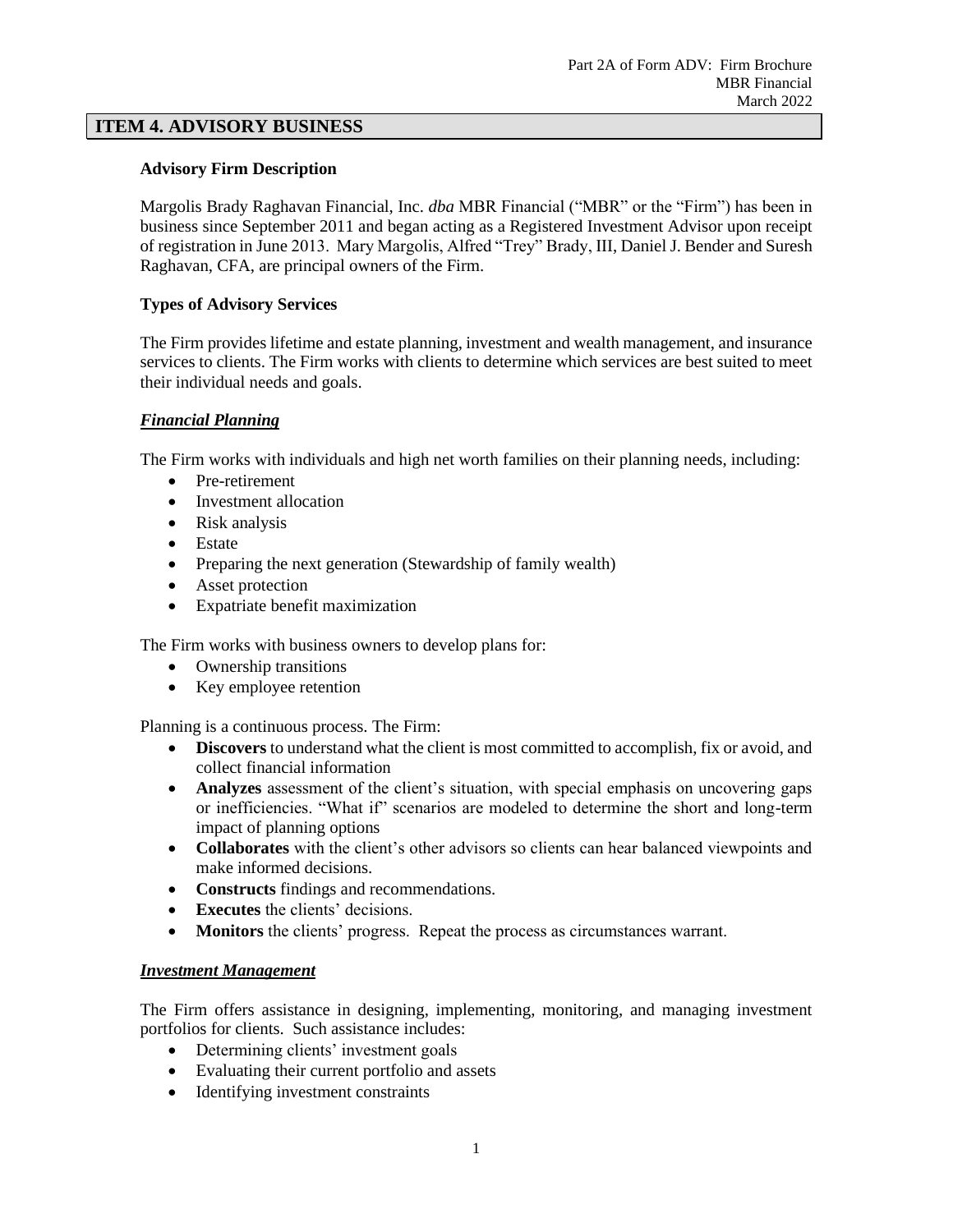#### <span id="page-3-0"></span>**ITEM 4. ADVISORY BUSINESS**

#### **Advisory Firm Description**

Margolis Brady Raghavan Financial, Inc. *dba* MBR Financial ("MBR" or the "Firm") has been in business since September 2011 and began acting as a Registered Investment Advisor upon receipt of registration in June 2013. Mary Margolis, Alfred "Trey" Brady, III, Daniel J. Bender and Suresh Raghavan, CFA, are principal owners of the Firm.

#### **Types of Advisory Services**

The Firm provides lifetime and estate planning, investment and wealth management, and insurance services to clients. The Firm works with clients to determine which services are best suited to meet their individual needs and goals.

#### *Financial Planning*

The Firm works with individuals and high net worth families on their planning needs, including:

- Pre-retirement
- Investment allocation
- Risk analysis
- Estate
- Preparing the next generation (Stewardship of family wealth)
- Asset protection
- Expatriate benefit maximization

The Firm works with business owners to develop plans for:

- Ownership transitions
- Key employee retention

Planning is a continuous process. The Firm:

- **Discovers** to understand what the client is most committed to accomplish, fix or avoid, and collect financial information
- **Analyzes** assessment of the client's situation, with special emphasis on uncovering gaps or inefficiencies. "What if" scenarios are modeled to determine the short and long-term impact of planning options
- **Collaborates** with the client's other advisors so clients can hear balanced viewpoints and make informed decisions.
- **Constructs** findings and recommendations.
- **Executes** the clients' decisions.
- **Monitors** the clients' progress. Repeat the process as circumstances warrant.

#### *Investment Management*

The Firm offers assistance in designing, implementing, monitoring, and managing investment portfolios for clients. Such assistance includes:

- Determining clients' investment goals
- Evaluating their current portfolio and assets
- Identifying investment constraints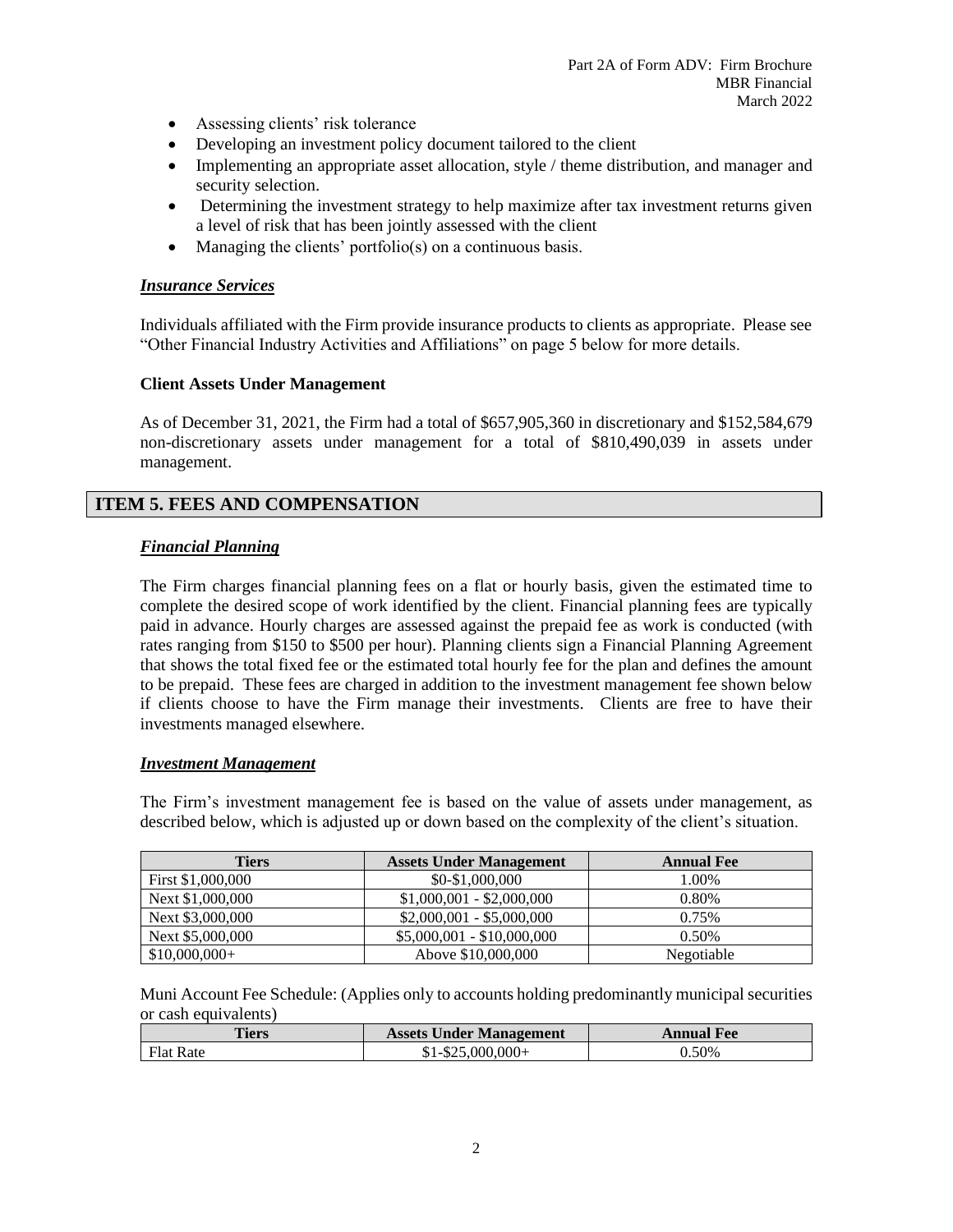- Assessing clients' risk tolerance
- Developing an investment policy document tailored to the client
- Implementing an appropriate asset allocation, style / theme distribution, and manager and security selection.
- Determining the investment strategy to help maximize after tax investment returns given a level of risk that has been jointly assessed with the client
- Managing the clients' portfolio(s) on a continuous basis.

#### *Insurance Services*

Individuals affiliated with the Firm provide insurance products to clients as appropriate. Please see "Other Financial Industry Activities and Affiliations" on page 5 below for more details.

#### **Client Assets Under Management**

As of December 31, 2021, the Firm had a total of \$657,905,360 in discretionary and \$152,584,679 non-discretionary assets under management for a total of \$810,490,039 in assets under management.

## <span id="page-4-0"></span>**ITEM 5. FEES AND COMPENSATION**

#### *Financial Planning*

The Firm charges financial planning fees on a flat or hourly basis, given the estimated time to complete the desired scope of work identified by the client. Financial planning fees are typically paid in advance. Hourly charges are assessed against the prepaid fee as work is conducted (with rates ranging from \$150 to \$500 per hour). Planning clients sign a Financial Planning Agreement that shows the total fixed fee or the estimated total hourly fee for the plan and defines the amount to be prepaid. These fees are charged in addition to the investment management fee shown below if clients choose to have the Firm manage their investments. Clients are free to have their investments managed elsewhere.

#### *Investment Management*

The Firm's investment management fee is based on the value of assets under management, as described below, which is adjusted up or down based on the complexity of the client's situation.

| <b>Tiers</b>      | <b>Assets Under Management</b> | <b>Annual Fee</b> |
|-------------------|--------------------------------|-------------------|
| First \$1,000,000 | \$0-\$1,000,000                | 1.00%             |
| Next \$1,000,000  | $$1,000,001 - $2,000,000$      | 0.80%             |
| Next \$3,000,000  | $$2,000,001 - $5,000,000$      | 0.75%             |
| Next \$5,000,000  | $$5,000,001 - $10,000,000$     | 0.50%             |
| $$10,000,000+$    | Above \$10,000,000             | Negotiable        |

Muni Account Fee Schedule: (Applies only to accounts holding predominantly municipal securities or cash equivalents)

| Tiers            | <b>Assets Under Management</b> | <b>Annual Fee</b> |
|------------------|--------------------------------|-------------------|
| <b>Flat Rate</b> | $$1 - $25,000,000+$            | 0.50%             |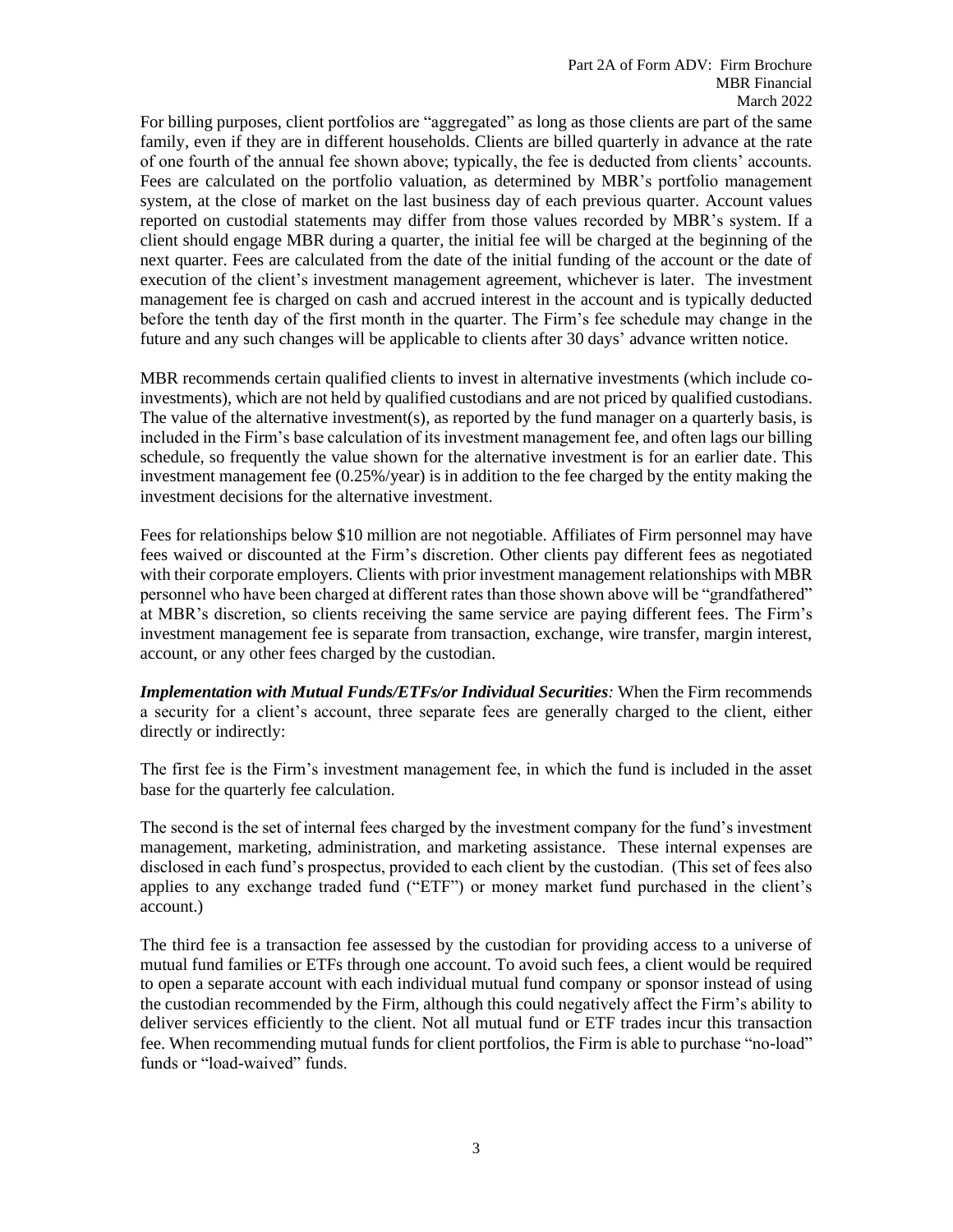For billing purposes, client portfolios are "aggregated" as long as those clients are part of the same family, even if they are in different households. Clients are billed quarterly in advance at the rate of one fourth of the annual fee shown above; typically, the fee is deducted from clients' accounts. Fees are calculated on the portfolio valuation, as determined by MBR's portfolio management system, at the close of market on the last business day of each previous quarter. Account values reported on custodial statements may differ from those values recorded by MBR's system. If a client should engage MBR during a quarter, the initial fee will be charged at the beginning of the next quarter. Fees are calculated from the date of the initial funding of the account or the date of execution of the client's investment management agreement, whichever is later. The investment management fee is charged on cash and accrued interest in the account and is typically deducted before the tenth day of the first month in the quarter. The Firm's fee schedule may change in the future and any such changes will be applicable to clients after 30 days' advance written notice.

MBR recommends certain qualified clients to invest in alternative investments (which include coinvestments), which are not held by qualified custodians and are not priced by qualified custodians. The value of the alternative investment(s), as reported by the fund manager on a quarterly basis, is included in the Firm's base calculation of its investment management fee, and often lags our billing schedule, so frequently the value shown for the alternative investment is for an earlier date. This investment management fee (0.25%/year) is in addition to the fee charged by the entity making the investment decisions for the alternative investment.

Fees for relationships below \$10 million are not negotiable. Affiliates of Firm personnel may have fees waived or discounted at the Firm's discretion. Other clients pay different fees as negotiated with their corporate employers. Clients with prior investment management relationships with MBR personnel who have been charged at different rates than those shown above will be "grandfathered" at MBR's discretion, so clients receiving the same service are paying different fees. The Firm's investment management fee is separate from transaction, exchange, wire transfer, margin interest, account, or any other fees charged by the custodian.

*Implementation with Mutual Funds/ETFs/or Individual Securities:* When the Firm recommends a security for a client's account, three separate fees are generally charged to the client, either directly or indirectly:

The first fee is the Firm's investment management fee, in which the fund is included in the asset base for the quarterly fee calculation.

The second is the set of internal fees charged by the investment company for the fund's investment management, marketing, administration, and marketing assistance. These internal expenses are disclosed in each fund's prospectus, provided to each client by the custodian. (This set of fees also applies to any exchange traded fund ("ETF") or money market fund purchased in the client's account.)

The third fee is a transaction fee assessed by the custodian for providing access to a universe of mutual fund families or ETFs through one account. To avoid such fees, a client would be required to open a separate account with each individual mutual fund company or sponsor instead of using the custodian recommended by the Firm, although this could negatively affect the Firm's ability to deliver services efficiently to the client. Not all mutual fund or ETF trades incur this transaction fee. When recommending mutual funds for client portfolios, the Firm is able to purchase "no-load" funds or "load-waived" funds.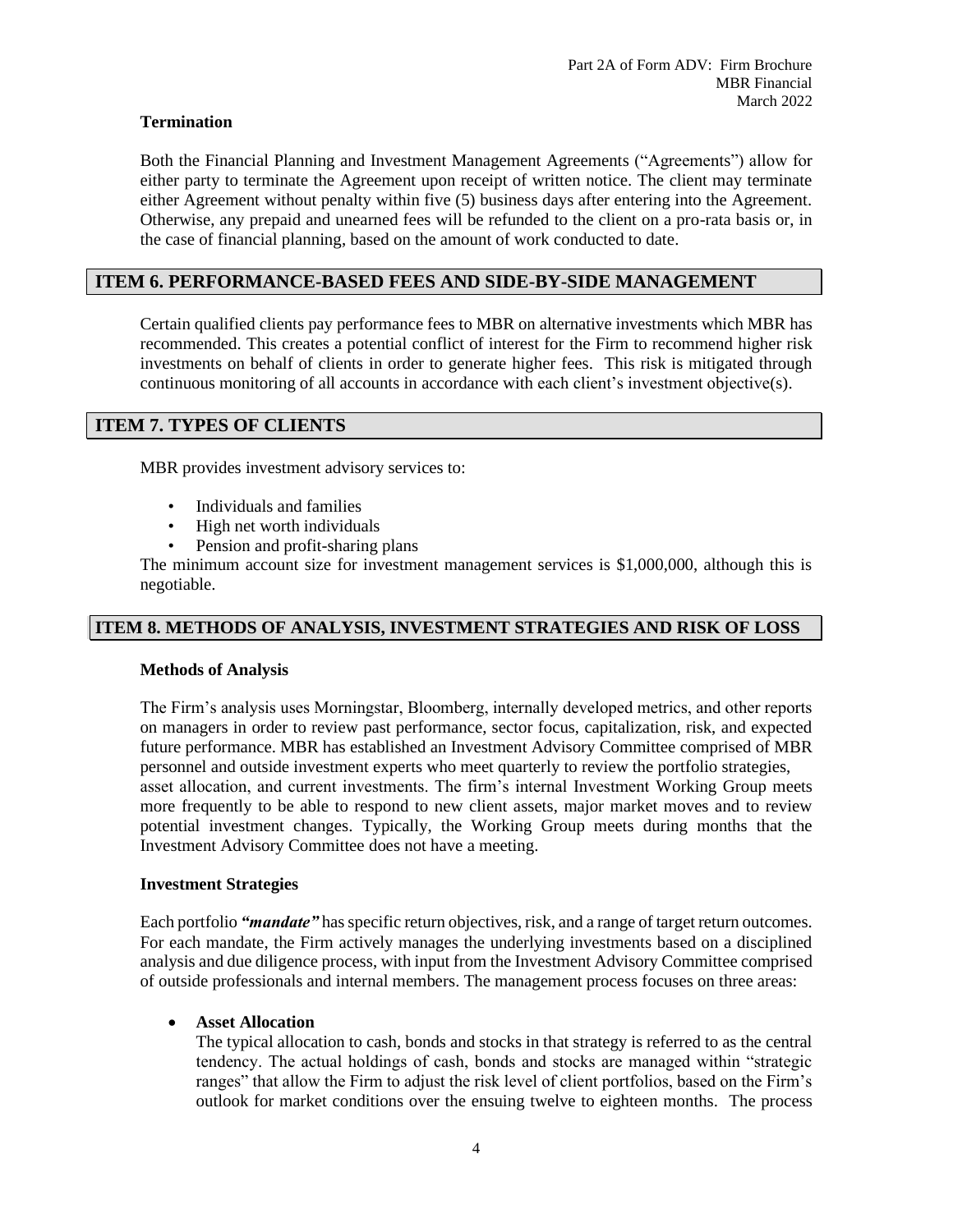#### **Termination**

Both the Financial Planning and Investment Management Agreements ("Agreements") allow for either party to terminate the Agreement upon receipt of written notice. The client may terminate either Agreement without penalty within five (5) business days after entering into the Agreement. Otherwise, any prepaid and unearned fees will be refunded to the client on a pro-rata basis or, in the case of financial planning, based on the amount of work conducted to date.

## <span id="page-6-0"></span>**ITEM 6. PERFORMANCE-BASED FEES AND SIDE-BY-SIDE MANAGEMENT**

Certain qualified clients pay performance fees to MBR on alternative investments which MBR has recommended. This creates a potential conflict of interest for the Firm to recommend higher risk investments on behalf of clients in order to generate higher fees. This risk is mitigated through continuous monitoring of all accounts in accordance with each client's investment objective(s).

#### <span id="page-6-1"></span>**ITEM 7. TYPES OF CLIENTS**

MBR provides investment advisory services to:

- Individuals and families
- High net worth individuals<br>• Pension and profit-sharing
- Pension and profit-sharing plans

The minimum account size for investment management services is \$1,000,000, although this is negotiable.

#### <span id="page-6-2"></span>**ITEM 8. METHODS OF ANALYSIS, INVESTMENT STRATEGIES AND RISK OF LOSS**

#### **Methods of Analysis**

The Firm's analysis uses Morningstar, Bloomberg, internally developed metrics, and other reports on managers in order to review past performance, sector focus, capitalization, risk, and expected future performance. MBR has established an Investment Advisory Committee comprised of MBR personnel and outside investment experts who meet quarterly to review the portfolio strategies, asset allocation, and current investments. The firm's internal Investment Working Group meets more frequently to be able to respond to new client assets, major market moves and to review potential investment changes. Typically, the Working Group meets during months that the Investment Advisory Committee does not have a meeting.

#### **Investment Strategies**

Each portfolio *"mandate"* has specific return objectives, risk, and a range of target return outcomes. For each mandate, the Firm actively manages the underlying investments based on a disciplined analysis and due diligence process, with input from the Investment Advisory Committee comprised of outside professionals and internal members. The management process focuses on three areas:

#### • **Asset Allocation**

The typical allocation to cash, bonds and stocks in that strategy is referred to as the central tendency. The actual holdings of cash, bonds and stocks are managed within "strategic ranges" that allow the Firm to adjust the risk level of client portfolios, based on the Firm's outlook for market conditions over the ensuing twelve to eighteen months. The process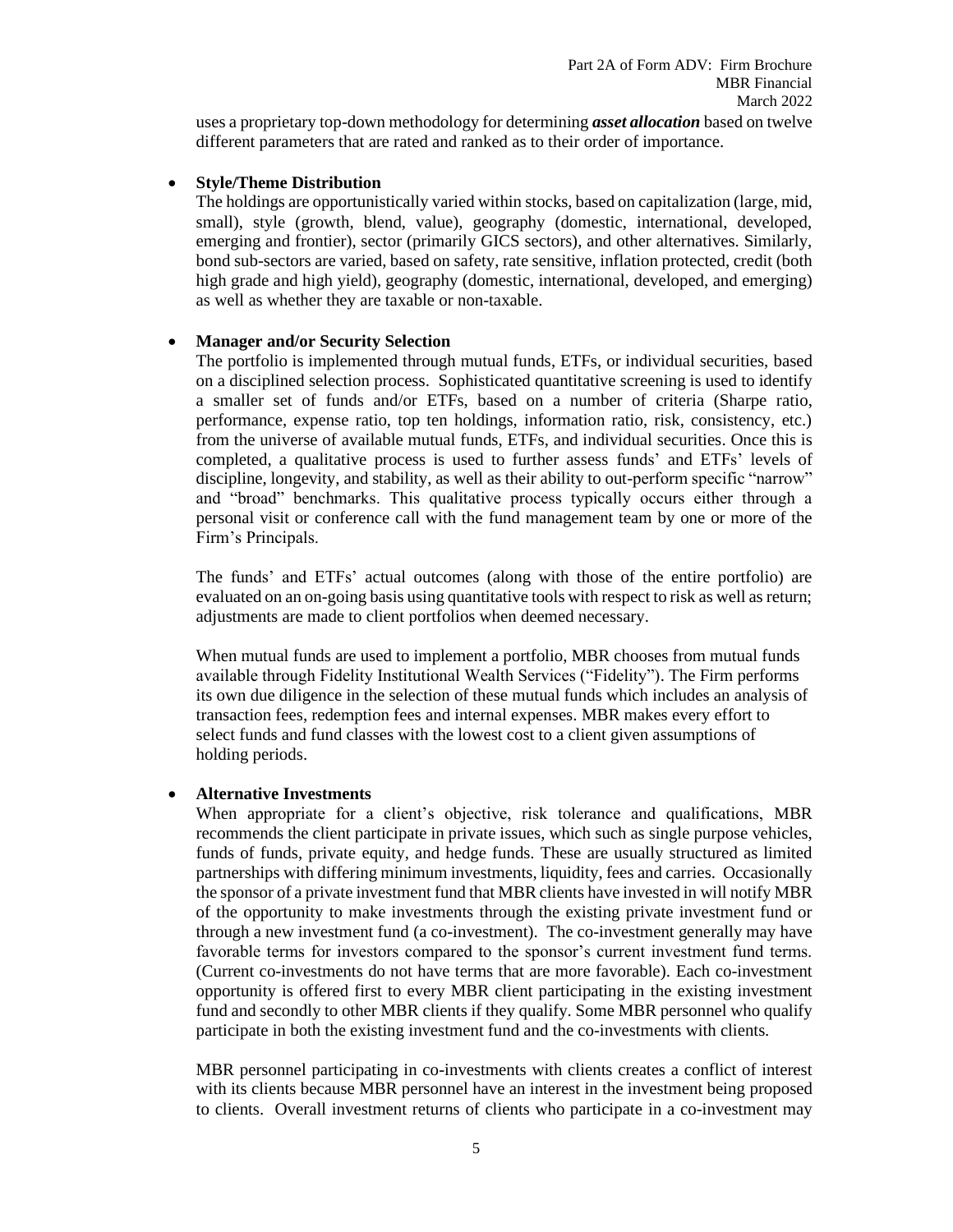uses a proprietary top-down methodology for determining *asset allocation* based on twelve different parameters that are rated and ranked as to their order of importance.

#### • **Style/Theme Distribution**

The holdings are opportunistically varied within stocks, based on capitalization (large, mid, small), style (growth, blend, value), geography (domestic, international, developed, emerging and frontier), sector (primarily GICS sectors), and other alternatives. Similarly, bond sub-sectors are varied, based on safety, rate sensitive, inflation protected, credit (both high grade and high yield), geography (domestic, international, developed, and emerging) as well as whether they are taxable or non-taxable.

#### • **Manager and/or Security Selection**

The portfolio is implemented through mutual funds, ETFs, or individual securities, based on a disciplined selection process. Sophisticated quantitative screening is used to identify a smaller set of funds and/or ETFs, based on a number of criteria (Sharpe ratio, performance, expense ratio, top ten holdings, information ratio, risk, consistency, etc.) from the universe of available mutual funds, ETFs, and individual securities. Once this is completed, a qualitative process is used to further assess funds' and ETFs' levels of discipline, longevity, and stability, as well as their ability to out-perform specific "narrow" and "broad" benchmarks. This qualitative process typically occurs either through a personal visit or conference call with the fund management team by one or more of the Firm's Principals.

The funds' and ETFs' actual outcomes (along with those of the entire portfolio) are evaluated on an on-going basis using quantitative tools with respect to risk as well as return; adjustments are made to client portfolios when deemed necessary.

When mutual funds are used to implement a portfolio, MBR chooses from mutual funds available through Fidelity Institutional Wealth Services ("Fidelity"). The Firm performs its own due diligence in the selection of these mutual funds which includes an analysis of transaction fees, redemption fees and internal expenses. MBR makes every effort to select funds and fund classes with the lowest cost to a client given assumptions of holding periods.

#### • **Alternative Investments**

When appropriate for a client's objective, risk tolerance and qualifications, MBR recommends the client participate in private issues, which such as single purpose vehicles, funds of funds, private equity, and hedge funds. These are usually structured as limited partnerships with differing minimum investments, liquidity, fees and carries. Occasionally the sponsor of a private investment fund that MBR clients have invested in will notify MBR of the opportunity to make investments through the existing private investment fund or through a new investment fund (a co-investment). The co-investment generally may have favorable terms for investors compared to the sponsor's current investment fund terms. (Current co-investments do not have terms that are more favorable). Each co-investment opportunity is offered first to every MBR client participating in the existing investment fund and secondly to other MBR clients if they qualify. Some MBR personnel who qualify participate in both the existing investment fund and the co-investments with clients.

MBR personnel participating in co-investments with clients creates a conflict of interest with its clients because MBR personnel have an interest in the investment being proposed to clients. Overall investment returns of clients who participate in a co-investment may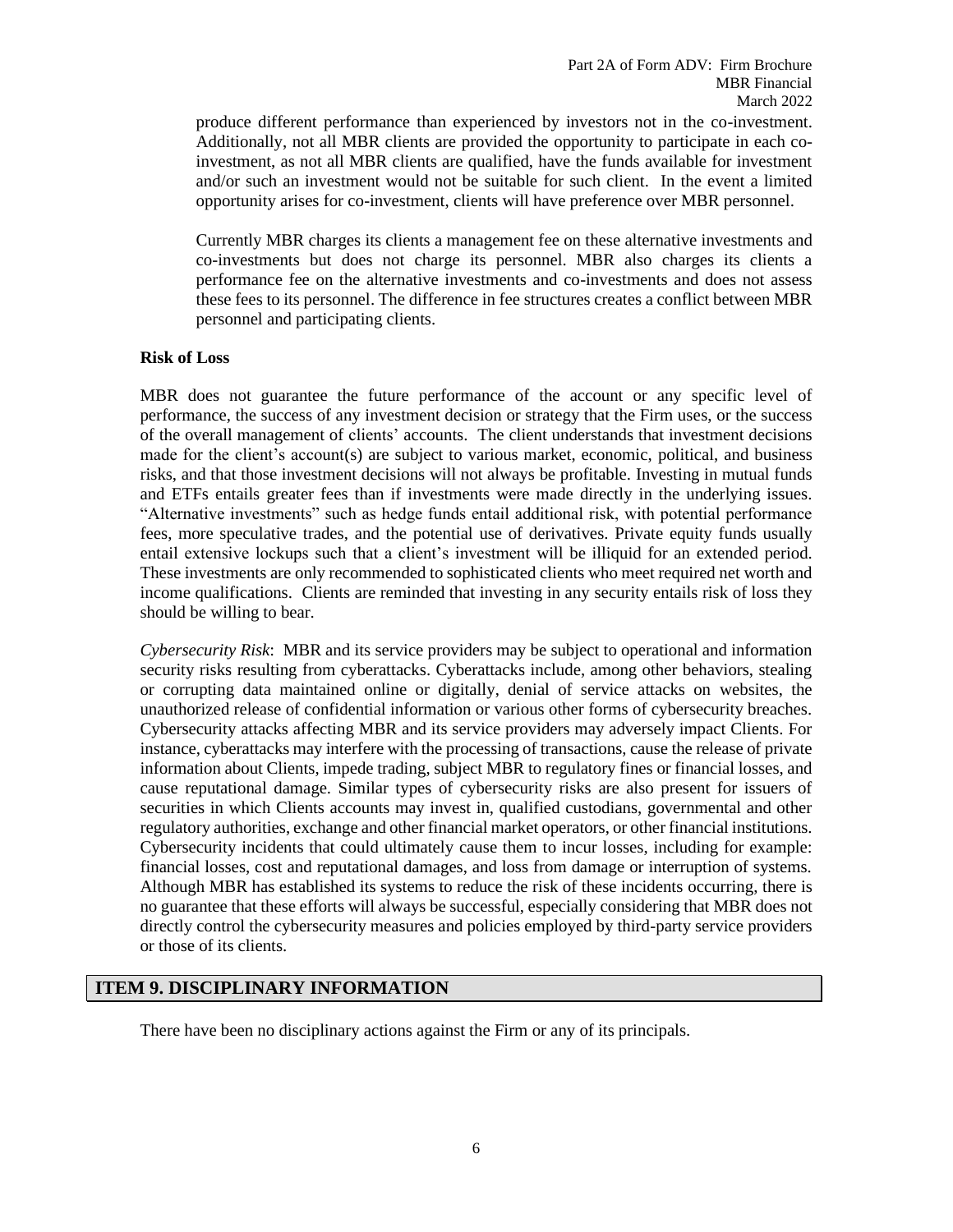produce different performance than experienced by investors not in the co-investment. Additionally, not all MBR clients are provided the opportunity to participate in each coinvestment, as not all MBR clients are qualified, have the funds available for investment and/or such an investment would not be suitable for such client. In the event a limited opportunity arises for co-investment, clients will have preference over MBR personnel.

Currently MBR charges its clients a management fee on these alternative investments and co-investments but does not charge its personnel. MBR also charges its clients a performance fee on the alternative investments and co-investments and does not assess these fees to its personnel. The difference in fee structures creates a conflict between MBR personnel and participating clients.

#### **Risk of Loss**

MBR does not guarantee the future performance of the account or any specific level of performance, the success of any investment decision or strategy that the Firm uses, or the success of the overall management of clients' accounts. The client understands that investment decisions made for the client's account(s) are subject to various market, economic, political, and business risks, and that those investment decisions will not always be profitable. Investing in mutual funds and ETFs entails greater fees than if investments were made directly in the underlying issues. "Alternative investments" such as hedge funds entail additional risk, with potential performance fees, more speculative trades, and the potential use of derivatives. Private equity funds usually entail extensive lockups such that a client's investment will be illiquid for an extended period. These investments are only recommended to sophisticated clients who meet required net worth and income qualifications. Clients are reminded that investing in any security entails risk of loss they should be willing to bear.

*Cybersecurity Risk*: MBR and its service providers may be subject to operational and information security risks resulting from cyberattacks. Cyberattacks include, among other behaviors, stealing or corrupting data maintained online or digitally, denial of service attacks on websites, the unauthorized release of confidential information or various other forms of cybersecurity breaches. Cybersecurity attacks affecting MBR and its service providers may adversely impact Clients. For instance, cyberattacks may interfere with the processing of transactions, cause the release of private information about Clients, impede trading, subject MBR to regulatory fines or financial losses, and cause reputational damage. Similar types of cybersecurity risks are also present for issuers of securities in which Clients accounts may invest in, qualified custodians, governmental and other regulatory authorities, exchange and other financial market operators, or other financial institutions. Cybersecurity incidents that could ultimately cause them to incur losses, including for example: financial losses, cost and reputational damages, and loss from damage or interruption of systems. Although MBR has established its systems to reduce the risk of these incidents occurring, there is no guarantee that these efforts will always be successful, especially considering that MBR does not directly control the cybersecurity measures and policies employed by third-party service providers or those of its clients.

## <span id="page-8-0"></span>**ITEM 9. DISCIPLINARY INFORMATION**

There have been no disciplinary actions against the Firm or any of its principals.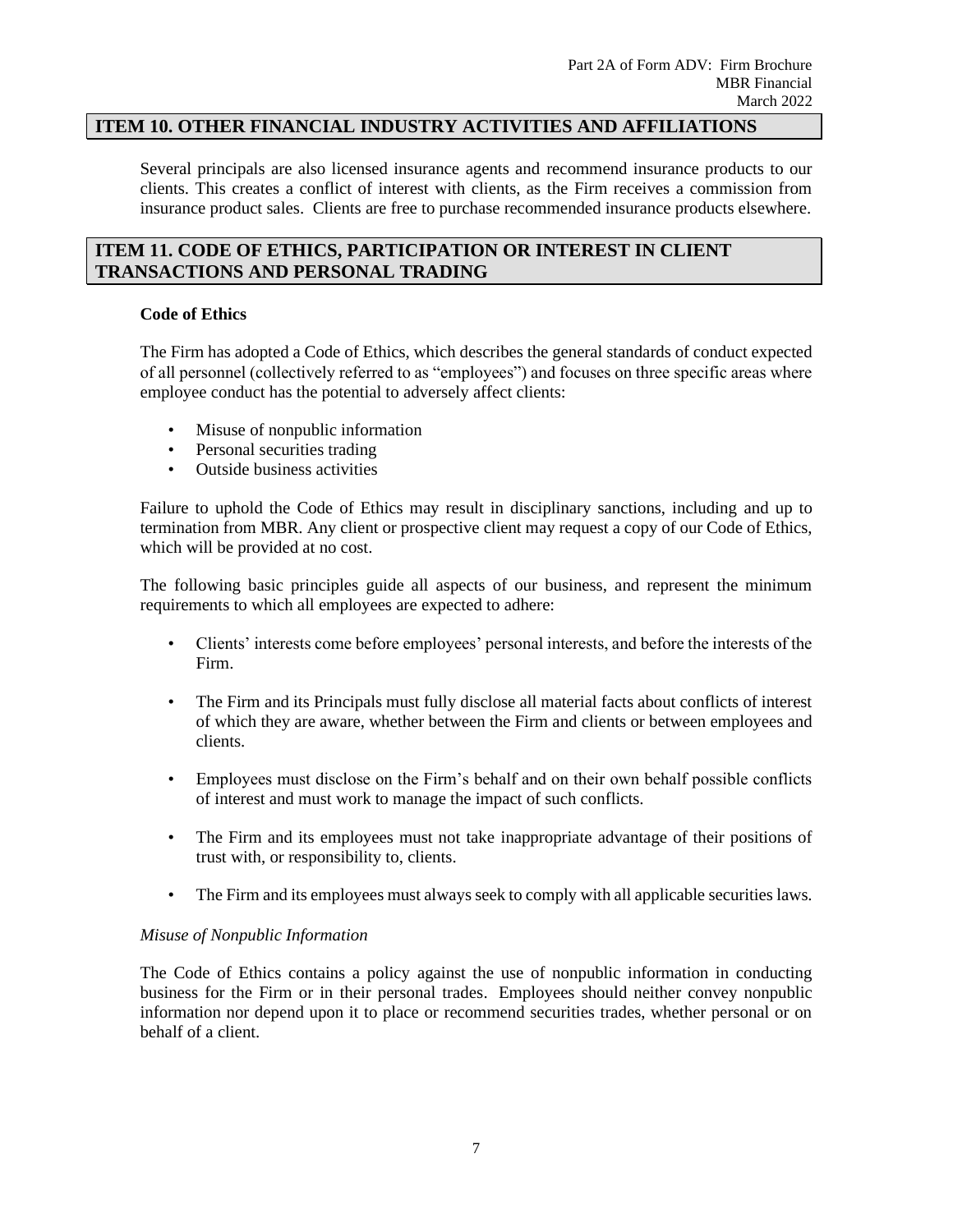## <span id="page-9-0"></span>**ITEM 10. OTHER FINANCIAL INDUSTRY ACTIVITIES AND AFFILIATIONS**

Several principals are also licensed insurance agents and recommend insurance products to our clients. This creates a conflict of interest with clients, as the Firm receives a commission from insurance product sales. Clients are free to purchase recommended insurance products elsewhere.

## <span id="page-9-1"></span>**ITEM 11. CODE OF ETHICS, PARTICIPATION OR INTEREST IN CLIENT TRANSACTIONS AND PERSONAL TRADING**

#### **Code of Ethics**

The Firm has adopted a Code of Ethics, which describes the general standards of conduct expected of all personnel (collectively referred to as "employees") and focuses on three specific areas where employee conduct has the potential to adversely affect clients:

- Misuse of nonpublic information
- Personal securities trading
- Outside business activities

Failure to uphold the Code of Ethics may result in disciplinary sanctions, including and up to termination from MBR. Any client or prospective client may request a copy of our Code of Ethics, which will be provided at no cost.

The following basic principles guide all aspects of our business, and represent the minimum requirements to which all employees are expected to adhere:

- Clients' interests come before employees' personal interests, and before the interests of the Firm.
- The Firm and its Principals must fully disclose all material facts about conflicts of interest of which they are aware, whether between the Firm and clients or between employees and clients.
- Employees must disclose on the Firm's behalf and on their own behalf possible conflicts of interest and must work to manage the impact of such conflicts.
- The Firm and its employees must not take inappropriate advantage of their positions of trust with, or responsibility to, clients.
- The Firm and its employees must always seek to comply with all applicable securities laws.

#### *Misuse of Nonpublic Information*

The Code of Ethics contains a policy against the use of nonpublic information in conducting business for the Firm or in their personal trades. Employees should neither convey nonpublic information nor depend upon it to place or recommend securities trades, whether personal or on behalf of a client.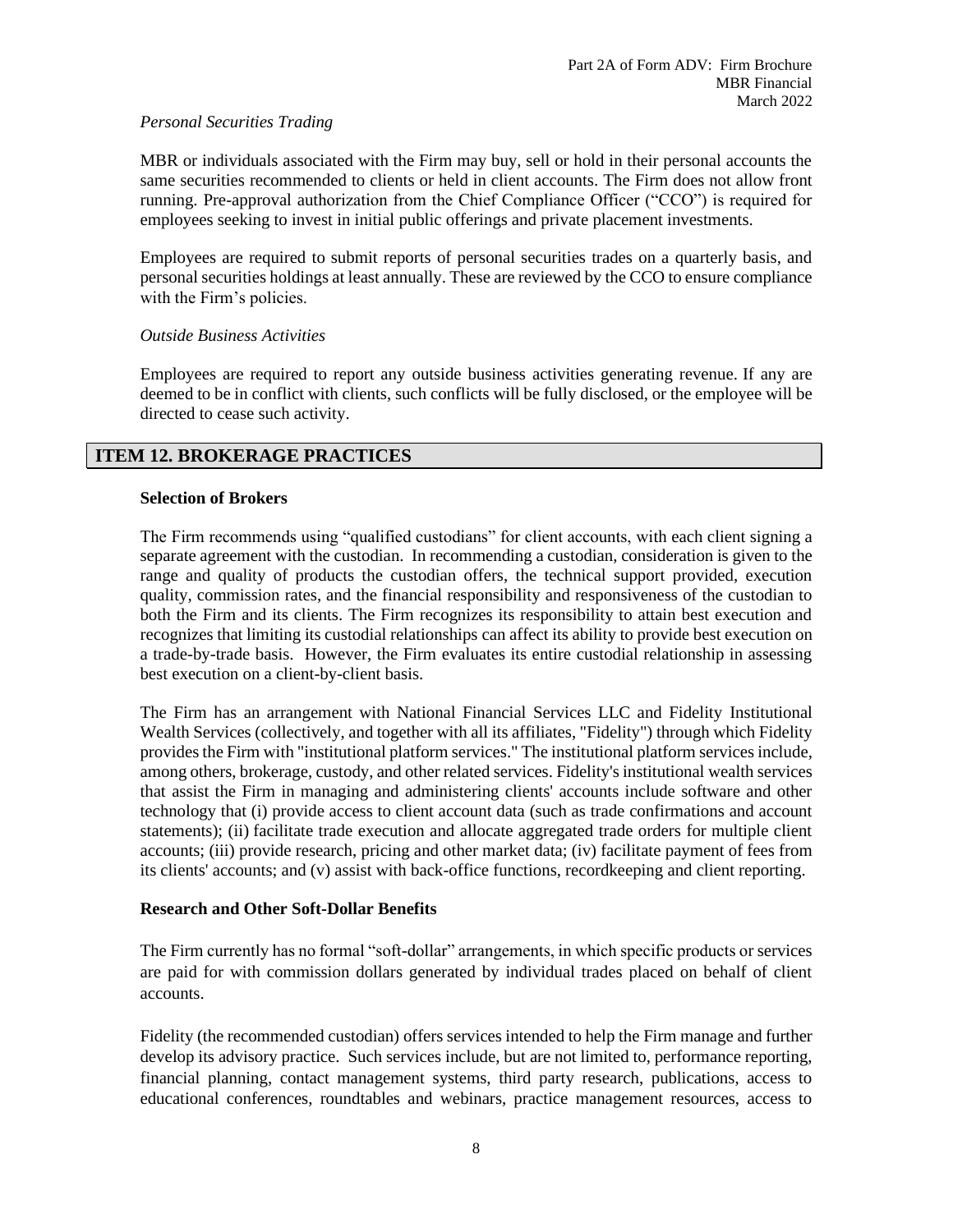#### *Personal Securities Trading*

MBR or individuals associated with the Firm may buy, sell or hold in their personal accounts the same securities recommended to clients or held in client accounts. The Firm does not allow front running. Pre-approval authorization from the Chief Compliance Officer ("CCO") is required for employees seeking to invest in initial public offerings and private placement investments.

Employees are required to submit reports of personal securities trades on a quarterly basis, and personal securities holdings at least annually. These are reviewed by the CCO to ensure compliance with the Firm's policies.

#### *Outside Business Activities*

Employees are required to report any outside business activities generating revenue. If any are deemed to be in conflict with clients, such conflicts will be fully disclosed, or the employee will be directed to cease such activity.

## <span id="page-10-0"></span>**ITEM 12. BROKERAGE PRACTICES**

#### **Selection of Brokers**

The Firm recommends using "qualified custodians" for client accounts, with each client signing a separate agreement with the custodian. In recommending a custodian, consideration is given to the range and quality of products the custodian offers, the technical support provided, execution quality, commission rates, and the financial responsibility and responsiveness of the custodian to both the Firm and its clients. The Firm recognizes its responsibility to attain best execution and recognizes that limiting its custodial relationships can affect its ability to provide best execution on a trade-by-trade basis. However, the Firm evaluates its entire custodial relationship in assessing best execution on a client-by-client basis.

The Firm has an arrangement with National Financial Services LLC and Fidelity Institutional Wealth Services (collectively, and together with all its affiliates, "Fidelity") through which Fidelity provides the Firm with "institutional platform services." The institutional platform services include, among others, brokerage, custody, and other related services. Fidelity's institutional wealth services that assist the Firm in managing and administering clients' accounts include software and other technology that (i) provide access to client account data (such as trade confirmations and account statements); (ii) facilitate trade execution and allocate aggregated trade orders for multiple client accounts; (iii) provide research, pricing and other market data; (iv) facilitate payment of fees from its clients' accounts; and (v) assist with back-office functions, recordkeeping and client reporting.

#### **Research and Other Soft-Dollar Benefits**

The Firm currently has no formal "soft-dollar" arrangements, in which specific products or services are paid for with commission dollars generated by individual trades placed on behalf of client accounts.

Fidelity (the recommended custodian) offers services intended to help the Firm manage and further develop its advisory practice. Such services include, but are not limited to, performance reporting, financial planning, contact management systems, third party research, publications, access to educational conferences, roundtables and webinars, practice management resources, access to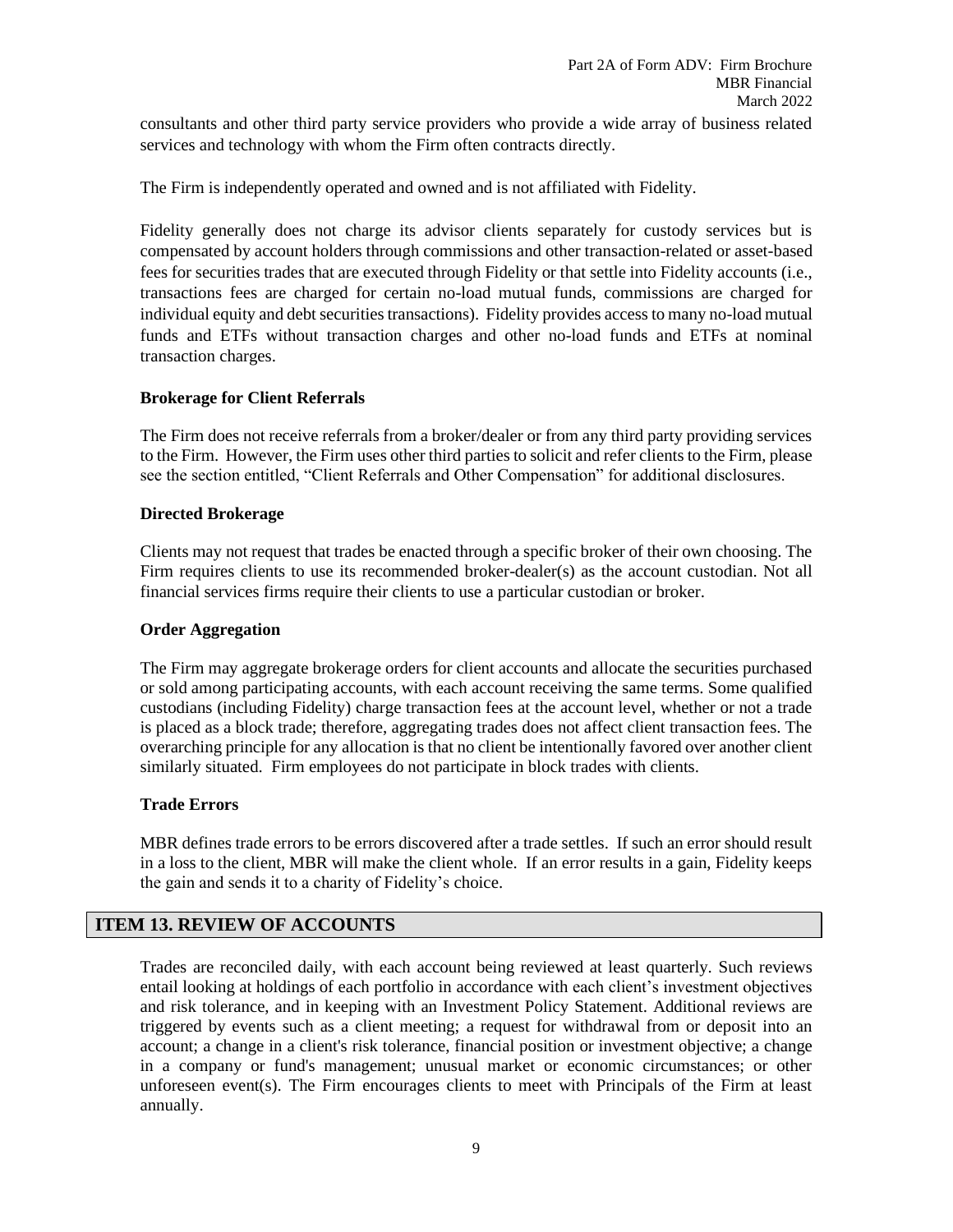consultants and other third party service providers who provide a wide array of business related services and technology with whom the Firm often contracts directly.

The Firm is independently operated and owned and is not affiliated with Fidelity.

Fidelity generally does not charge its advisor clients separately for custody services but is compensated by account holders through commissions and other transaction-related or asset-based fees for securities trades that are executed through Fidelity or that settle into Fidelity accounts (i.e., transactions fees are charged for certain no-load mutual funds, commissions are charged for individual equity and debt securities transactions). Fidelity provides access to many no-load mutual funds and ETFs without transaction charges and other no-load funds and ETFs at nominal transaction charges.

#### **Brokerage for Client Referrals**

The Firm does not receive referrals from a broker/dealer or from any third party providing services to the Firm. However, the Firm uses other third parties to solicit and refer clients to the Firm, please see the section entitled, "Client Referrals and Other Compensation" for additional disclosures.

#### **Directed Brokerage**

Clients may not request that trades be enacted through a specific broker of their own choosing. The Firm requires clients to use its recommended broker-dealer(s) as the account custodian. Not all financial services firms require their clients to use a particular custodian or broker.

#### **Order Aggregation**

The Firm may aggregate brokerage orders for client accounts and allocate the securities purchased or sold among participating accounts, with each account receiving the same terms. Some qualified custodians (including Fidelity) charge transaction fees at the account level, whether or not a trade is placed as a block trade; therefore, aggregating trades does not affect client transaction fees. The overarching principle for any allocation is that no client be intentionally favored over another client similarly situated. Firm employees do not participate in block trades with clients.

#### **Trade Errors**

MBR defines trade errors to be errors discovered after a trade settles. If such an error should result in a loss to the client, MBR will make the client whole. If an error results in a gain, Fidelity keeps the gain and sends it to a charity of Fidelity's choice.

#### <span id="page-11-0"></span>**ITEM 13. REVIEW OF ACCOUNTS**

Trades are reconciled daily, with each account being reviewed at least quarterly. Such reviews entail looking at holdings of each portfolio in accordance with each client's investment objectives and risk tolerance, and in keeping with an Investment Policy Statement. Additional reviews are triggered by events such as a client meeting; a request for withdrawal from or deposit into an account; a change in a client's risk tolerance, financial position or investment objective; a change in a company or fund's management; unusual market or economic circumstances; or other unforeseen event(s). The Firm encourages clients to meet with Principals of the Firm at least annually.